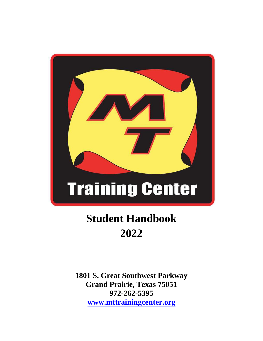

# **Student Handbook 2022**

**1801 S. Great Southwest Parkway Grand Prairie, Texas 75051 972-262-5395 [www.mttrainingcenter.org](http://www.mttrainingcenter.org/)**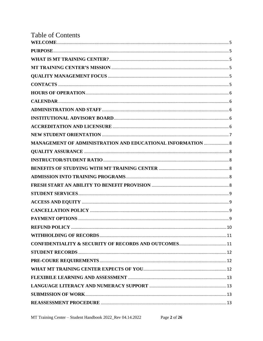| <b>Table of Contents</b>                                           |  |
|--------------------------------------------------------------------|--|
|                                                                    |  |
|                                                                    |  |
|                                                                    |  |
|                                                                    |  |
|                                                                    |  |
|                                                                    |  |
|                                                                    |  |
|                                                                    |  |
|                                                                    |  |
|                                                                    |  |
|                                                                    |  |
|                                                                    |  |
| <b>MANAGEMENT OF ADMINISTRATION AND EDUCATIONAL INFORMATION  8</b> |  |
|                                                                    |  |
|                                                                    |  |
|                                                                    |  |
|                                                                    |  |
|                                                                    |  |
|                                                                    |  |
|                                                                    |  |
|                                                                    |  |
|                                                                    |  |
|                                                                    |  |
|                                                                    |  |
|                                                                    |  |
|                                                                    |  |
|                                                                    |  |
|                                                                    |  |
|                                                                    |  |
|                                                                    |  |
|                                                                    |  |
|                                                                    |  |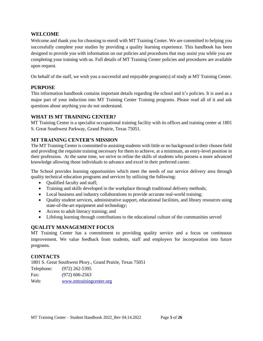#### <span id="page-4-0"></span>**WELCOME**

Welcome and thank you for choosing to enroll with MT Training Center. We are committed to helping you successfully complete your studies by providing a quality learning experience. This handbook has been designed to provide you with information on our policies and procedures that may assist you while you are completing your training with us. Full details of MT Training Center policies and procedures are available upon request.

On behalf of the staff, we wish you a successful and enjoyable program(s) of study at MT Training Center.

### <span id="page-4-1"></span>**PURPOSE**

This information handbook contains important details regarding the school and it's policies. It is used as a major part of your induction into MT Training Center Training programs. Please read all of it and ask questions about anything you do not understand.

#### <span id="page-4-2"></span>**WHAT IS MT TRAINING CENTER?**

MT Training Center is a specialist occupational training facility with its offices and training center at 1801 S. Great Southwest Parkway, Grand Prairie, Texas 75051.

# <span id="page-4-3"></span>**MT TRAINING CENTER'S MISSION**

The MT Training Center is committed to assisting students with little or no background in their chosen field and providing the requisite training necessary for them to achieve, at a minimum, an entry-level position in their profession. At the same time, we strive to refine the skills of students who possess a more advanced knowledge allowing those individuals to advance and excel in their preferred career.

The School provides learning opportunities which meet the needs of our service delivery area through quality technical education programs and services by utilizing the following:

- Qualified faculty and staff;
- Training and skills developed in the workplace through traditional delivery methods;
- Local business and industry collaborations to provide accurate real-world training;
- Quality student services, administrative support, educational facilities, and library resources using state-of-the-art equipment and technology;
- Access to adult literacy training; and
- Lifelong learning through contributions to the educational culture of the communities served

# <span id="page-4-4"></span>**QUALITY MANAGEMENT FOCUS**

MT Training Center has a commitment to providing quality service and a focus on continuous improvement. We value feedback from students, staff and employers for incorporation into future programs.

#### <span id="page-4-5"></span>**CONTACTS**

1801 S. Great Southwest Pkwy., Grand Prairie, Texas 75051 Telephone: (972) 262-5395 Fax: (972) 606-2563 Web: [www.mttrainingcenter.org](http://www.mttrainingcenter.org/)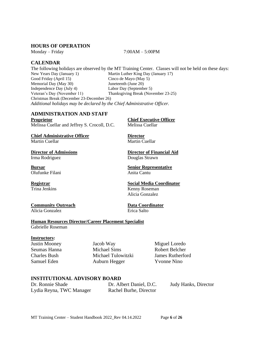#### <span id="page-5-0"></span>**HOURS OF OPERATION**

Monday – Friday 7:00AM – 5:00PM

# <span id="page-5-1"></span>**CALENDAR**

The following holidays are observed by the MT Training Center. Classes will not be held on these days: New Years Day (January 1) Martin Luther King Day (January 17) Good Friday (April 15) Cinco de Mayo (May 5) Memorial Day (May 30) Juneteenth (June 20) Independence Day (July 4) Labor Day (September 5) Veteran's Day (November 11) Thanksgiving Break (November 23-25) Christmas Break (December 23-December 26) *Additional holidays may be declared by the Chief Administrative Officer.*

# <span id="page-5-2"></span>**ADMINISTRATION AND STAFF**

**Proprietor Chief Executive Officer** Melissa Cuellar and Jeffrey S. Crocoll, D.C. Melissa Cuellar

**Chief Administrative Officer Director** 

Irma Rodriguez Douglas Strawn

Olufunke Filani **Anita Cantu** 

**Community Outreach Data Coordinator** Alicia Gonzalez Erica Salto

# **Human Resources Director/Career Placement Specialist**

Gabrielle Roseman

#### **Instructors:**

<span id="page-5-3"></span>Justin Mooney Jacob Way Miguel Loredo Seumas Hanna Michael Sims Robert Belcher Charles Bush Michael Tulowitzki James Rutherford Samuel Eden **Auburn Hegger** Yvonne Nino

#### **INSTITUTIONAL ADVISORY BOARD**

<span id="page-5-4"></span>Dr. Ronnie Shade Dr. Albert Daniel, D.C. Judy Hanks, Director Lydia Reyna, TWC Manager Rachel Burhe, Director

**Bursar Senior Representative** 

# **Registrar Social Media Coordinator**

Trina Jenkins Kenny Roseman Alicia Gonzalez

Martin Cuellar Martin Cuellar **Director of Admissions Director of Financial Aid**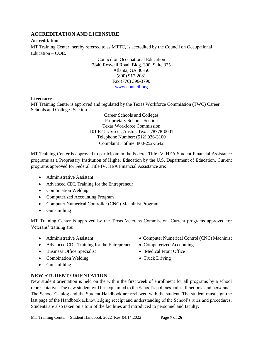# **ACCREDITATION AND LICENSURE**

#### **Accreditation**

MT Training Center, hereby referred to as MTTC, is accredited by the Council on Occupational Education – **COE.**

> Council on Occupational Education 7840 Roswell Road, Bldg. 300, Suite 325 Atlanta, GA 30350 (800) 917-2081 Fax (770) 396-3790 [www.council.org](http://www.council.org/)

#### **Licensure**

MT Training Center is approved and regulated by the Texas Workforce Commission (TWC) Career Schools and Colleges Section.

> Career Schools and Colleges Proprietary Schools Section Texas Workforce Commission 101 E 15th Street, Austin, Texas 78778-0001 Telephone Number: (512) 936-3100 Complaint Hotline: 800-252-3642

MT Training Center is approved to participate in the Federal Title IV, HEA Student Financial Assistance programs as a Proprietary Institution of Higher Education by the U.S. Department of Education. Current programs approved for Federal Title IV, HEA Financial Assistance are:

- Administrative Assistant
- Advanced CDL Training for the Entrepreneur
- Combination Welding
- Computerized Accounting Program
- Computer Numerical Controller (CNC) Machinist Program
- Gunsmithing

MT Training Center is approved by the Texas Veterans Commission. Current programs approved for Veterans' training are:

- 
- Advanced CDL Training for the Entrepreneur Computerized Accounting
- Business Office Specialist Medical Front Office
- Combination Welding Truck Driving
- Gunsmithing

#### <span id="page-6-0"></span>**NEW STUDENT ORIENTATION**

New student orientation is held on the within the first week of enrollment for all programs by a school representative. The new student will be acquainted to the School's policies, rules, functions, and personnel. The School Catalog and the Student Handbook are reviewed with the student. The student must sign the last page of the Handbook acknowledging receipt and understanding of the School's rules and procedures. Students are also taken on a tour of the facilities and introduced to personnel and faculty.

- Administrative Assistant Computer Numerical Control (CNC) Machinist
	-
	-
	-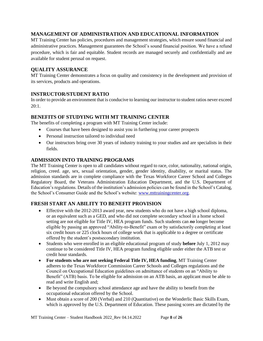# <span id="page-7-0"></span>**MANAGEMENT OF ADMINISTRATION AND EDUCATIONAL INFORMATION**

MT Training Center has policies, procedures and management strategies, which ensure sound financial and administrative practices. Management guarantees the School's sound financial position. We have a refund procedure, which is fair and equitable. Student records are managed securely and confidentially and are available for student perusal on request.

# <span id="page-7-1"></span>**QUALITY ASSURANCE**

MT Training Center demonstrates a focus on quality and consistency in the development and provision of its services, products and operations.

# <span id="page-7-2"></span>**INSTRUCTOR/STUDENT RATIO**

In order to provide an environment that is conducive to learning our instructor to student ratios never exceed  $20 \cdot 1$ 

# <span id="page-7-3"></span>**BENEFITS OF STUDYING WITH MT TRAINING CENTER**

The benefits of completing a program with MT Training Center include:

- Courses that have been designed to assist you in furthering your career prospects
- Personal instruction tailored to individual need
- Our instructors bring over 30 years of industry training to your studies and are specialists in their fields.

# <span id="page-7-4"></span>**ADMISSION INTO TRAINING PROGRAMS**

The MT Training Center is open to all candidates without regard to race, color, nationality, national origin, religion, creed. age, sex, sexual orientation, gender, gender identity, disability, or marital status. The admission standards are in complete compliance with the Texas Workforce Career School and Colleges Regulatory Board, the Veterans Administration Education Department, and the U.S. Department of Education's regulations. Details of the institution's admission policies can be found in the School's Catalog, the School's Consumer Guide and the School's website: [www.mttrainingcenter.org.](http://www.mttrainingcenter.org/)

# <span id="page-7-5"></span>**FRESH START AN ABILITY TO BENEFIT PROVISION**

- Effective with the 2012-2013 award year, new students who do not have a high school diploma, or an equivalent such as a GED, and who did not complete secondary school in a home school setting are not eligible for Title IV, HEA program funds. Such students can *no* longer become eligible by passing an approved "Ability-to-Benefit" exam or by satisfactorily completing at least six credit hours or 225 clock hours of college work that is applicable to a degree or certificate offered by the student's postsecondary institution.
- Students who were enrolled in an eligible educational program of study **before** July 1, 2012 may continue to be considered Title IV, HEA program funding eligible under either the ATB test or credit hour standards.
- **For students who are not seeking Federal Title IV, HEA funding**, MT Training Center adheres to the Texas Workforce Commission Career Schools and Colleges regulations and the Council on Occupational Education guidelines on admittance of students on an "Ability to Benefit" (ATB) basis. To be eligible for admission on an ATB basis, an applicant must be able to read and write English and;
- Be beyond the compulsory school attendance age and have the ability to benefit from the occupational education offered by the School.
- Must obtain a score of 200 (Verbal) and 210 (Quantitative) on the Wonderlic Basic Skills Exam. which is approved by the U.S. Department of Education. These passing scores are dictated by the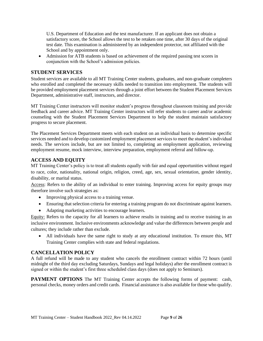U.S. Department of Education and the test manufacturer. If an applicant does not obtain a satisfactory score, the School allows the test to be retaken one time, after 30 days of the original test date. This examination is administered by an independent protector, not affiliated with the School and by appointment only.

• Admission for ATB students is based on achievement of the required passing test scores in conjunction with the School's admission policies.

#### <span id="page-8-0"></span>**STUDENT SERVICES**

Student services are available to all MT Training Center students, graduates, and non-graduate completers who enrolled and completed the necessary skills needed to transition into employment. The students will be provided employment placement services through a joint effort between the Student Placement Services Department, administrative staff, instructors, and director.

MT Training Center instructors will monitor student's progress throughout classroom training and provide feedback and career advice. MT Training Center instructors will refer students to career and/or academic counseling with the Student Placement Services Department to help the student maintain satisfactory progress to secure placement.

The Placement Services Department meets with each student on an individual basis to determine specific services needed and to develop customized employment placement services to meet the student's individual needs. The services include, but are not limited to, completing an employment application, reviewing employment resume, mock interview, interview preparation, employment referral and follow-up.

### <span id="page-8-1"></span>**ACCESS AND EQUITY**

MT Training Center's policy is to treat all students equally with fair and equal opportunities without regard to race, color, nationality, national origin, religion, creed, age, sex, sexual orientation, gender identity, disability, or marital status.

Access: Refers to the ability of an individual to enter training. Improving access for equity groups may therefore involve such strategies as:

- Improving physical access to a training venue.
- Ensuring that selection criteria for entering a training program do not discriminate against learners.
- Adapting marketing activities to encourage learners.

Equity: Refers to the capacity for all learners to achieve results in training and to receive training in an inclusive environment. Inclusive environments acknowledge and value the differences between people and cultures; they include rather than exclude.

• All individuals have the same right to study at any educational institution. To ensure this, MT Training Center complies with state and federal regulations.

#### <span id="page-8-2"></span>**CANCELLATION POLICY**

A full refund will be made to any student who cancels the enrollment contract within 72 hours (until midnight of the third day excluding Saturdays, Sundays and legal holidays) after the enrollment contract is signed or within the student's first three scheduled class days (does not apply to Seminars).

<span id="page-8-3"></span>**PAYMENT OPTIONS** The MT Training Center accepts the following forms of payment: cash, personal checks, money orders and credit cards. Financial assistance is also available for those who qualify.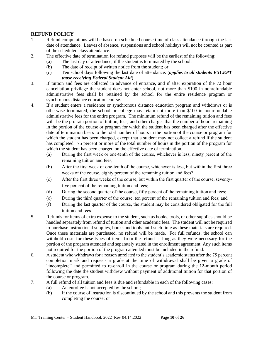# <span id="page-9-0"></span>**REFUND POLICY**

- 1. Refund computations will be based on scheduled course time of class attendance through the last date of attendance. Leaves of absence, suspensions and school holidays will not be counted as part of the scheduled class attendance.
- 2. The effective date of termination for refund purposes will be the earliest of the following:
	- (a) The last day of attendance, if the student is terminated by the school;
		- (b) The date of receipt of written notice from the student; or
		- (c) Ten school days following the last date of attendance. (*applies to all students EXCEPT those receiving Federal Student Aid*)
- 3. If tuition and fees are collected in advance of entrance, and if after expiration of the 72 hour cancellation privilege the student does not enter school, not more than \$100 in nonrefundable administrative fees shall be retained by the school for the entire residence program or synchronous distance education course*.*
- 4. If a student enters a residence or synchronous distance education program and withdraws or is otherwise terminated, the school or college may retain not more than \$100 in nonrefundable administrative fees for the entire program. The minimum refund of the remaining tuition and fees will be the pro rata portion of tuition, fees, and other charges that the number of hours remaining in the portion of the course or program for which the student has been charged after the effective date of termination bears to the total number of hours in the portion of the course or program for which the student has been charged, except that a student may not collect a refund if the student has completed 75 percent or more of the total number of hours in the portion of the program for which the student has been charged on the effective date of termination.
	- (a) During the first week or one-tenth of the course, whichever is less, ninety percent of the remaining tuition and fees;
	- (b) After the first week or one-tenth of the course, whichever is less, but within the first three weeks of the course, eighty percent of the remaining tuition and fees?
	- (c) After the first three weeks of the course, but within the first quarter of the course, seventyfive percent of the remaining tuition and fees;
	- (d) During the second quarter of the course, fifty percent of the remaining tuition and fees;
	- (e) During the third quarter of the course, ten percent of the remaining tuition and fees; and
	- (f) During the last quarter of the course, the student may be considered obligated for the full tuition and fees.
- 5. Refunds for items of extra expense to the student, such as books, tools, or other supplies should be handled separately from refund of tuition and other academic fees. The student will not be required to purchase instructional supplies, books and tools until such time as these materials are required. Once these materials are purchased, no refund will be made. For full refunds, the school can withhold costs for these types of items from the refund as long as they were necessary for the portion of the program attended and separately stated in the enrollment agreement. Any such items not required for the portion of the program attended must be included in the refund.
- 6. A student who withdraws for a reason unrelated to the student's academic status after the 75 percent completion mark and requests a grade at the time of withdrawal shall be given a grade of "incomplete" and permitted to re-enroll in the course or program during the 12-month period following the date the student withdrew without payment of additional tuition for that portion of the course or program.
- 7. A full refund of all tuition and fees is due and refundable in each of the following cases:
	- (a) An enrollee is not accepted by the school;
	- (b) If the course of instruction is discontinued by the school and this prevents the student from completing the course; or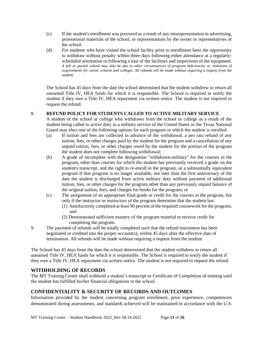- (c) If the student's enrollment was procured as a result of any misrepresentation in advertising, promotional materials of the school, or representations by the owner or representatives of the school.
- (d) For students who have visited the school facility prior to enrollment have the opportunity to withdraw without penalty within three days following either attendance at a regularlyscheduled orientation or following a tour of the facilities and inspections of the equipment. *A full or partial refund may also be due in other circumstances of program deficiencies or violations of requirements for career schools and colleges. All refunds will be made without requiring a request from the student.*

The School has 45 days from the date the school determined that the student withdrew to return all unearned Title IV, HEA funds for which it is responsible. The School is required to notify the student if they owe a Title IV, HEA repayment via written notice. The student is not required to request the refund.

#### 8. **REFUND POLICY FOR STUDENTS CALLED TO ACTIVE MILITARY SERVICE**

A student of the school or college who withdraws from the school or college as a result of the student being called to active duty in a military service of the United States or the Texas National Guard may elect one of the following options for each program in which the student is enrolled:

- (a) If tuition and fees are collected in advance of the withdrawal, a pro rata refund of any tuition, fees, or other charges paid by the student for the program and a cancellation of any unpaid tuition, fees, or other charges owed by the student for the portion of the program the student does not complete following withdrawal;
- (b) A grade of incomplete with the designation "withdrawn-military" for the courses in the program, other than courses for which the student has previously received a grade on the student's transcript, and the right to re-enroll in the program, or a substantially equivalent program if that program is no longer available, not later than the first anniversary of the date the student is discharged from active military duty without payment of additional tuition, fees, or other charges for the program other than any previously unpaid balance of the original tuition, fees, and charges for books for the program; or
- (c) The assignment of an appropriate final grade or credit for the courses in the program, but only if the instructor or instructors of the program determine that the student has:
	- (1) Satisfactorily completed at least 90 percent of the required coursework for the program; and
	- (2) Demonstrated sufficient mastery of the program material to receive credit for completing the program.
- 9. The payment of refunds will be totally completed such that the refund instrument has been negotiated or credited into the proper account(s), within 45 days after the effective date of termination. All refunds will be made without requiring a request from the student.

The School has 45 days from the date the school determined that the student withdrew to return all unearned Title IV, HEA funds for which it is responsible. The School is required to notify the student if they owe a Title IV, HEA repayment via written notice. The student is not required to request the refund.

# <span id="page-10-0"></span>**WITHHOLDING OF RECORDS**

The MT Training Center shall withhold a student's transcript or Certificate of Completion of training until the student has fulfilled his/her financial obligations to the school.

# <span id="page-10-1"></span>**CONFIDENTIALITY & SECURITY OF RECORDS AND OUTCOMES**

Information provided by the student concerning program enrollment, prior experience, competencies demonstrated during assessments, and standards achieved will be maintained in accordance with the U.S.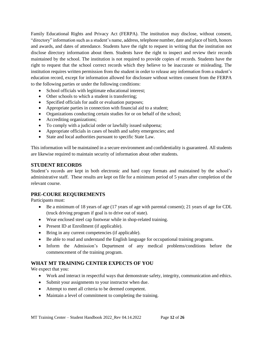Family Educational Rights and Privacy Act (FERPA). The institution may disclose, without consent, "directory" information such as a student's name, address, telephone number, date and place of birth, honors and awards, and dates of attendance. Students have the right to request in writing that the institution not disclose directory information about them. Students have the right to inspect and review their records maintained by the school. The institution is not required to provide copies of records. Students have the right to request that the school correct records which they believe to be inaccurate or misleading. The institution requires written permission from the student in order to release any information from a student's education record, except for information allowed for disclosure without written consent from the FERPA to the following parties or under the following conditions:

- School officials with legitimate educational interest;
- Other schools to which a student is transferring;
- Specified officials for audit or evaluation purposes;
- Appropriate parties in connection with financial aid to a student;
- Organizations conducting certain studies for or on behalf of the school;
- Accrediting organizations;
- To comply with a judicial order or lawfully issued subpoena;
- Appropriate officials in cases of health and safety emergencies; and
- State and local authorities pursuant to specific State Law.

This information will be maintained in a secure environment and confidentiality is guaranteed. All students are likewise required to maintain security of information about other students.

#### <span id="page-11-0"></span>**STUDENT RECORDS**

Student's records are kept in both electronic and hard copy formats and maintained by the school's administrative staff. These results are kept on file for a minimum period of 5 years after completion of the relevant course.

#### <span id="page-11-1"></span>**PRE-COURE REQUIREMENTS**

Participants must:

- Be a minimum of 18 years of age (17 years of age with parental consent); 21 years of age for CDL (truck driving program if goal is to drive out of state).
- Wear enclosed steel cap footwear while in shop-related training.
- Present ID at Enrollment (if applicable).
- Bring in any current competencies (if applicable).
- Be able to read and understand the English language for occupational training programs.
- Inform the Admission's Department of any medical problems/conditions before the commencement of the training program.

#### <span id="page-11-2"></span>**WHAT MT TRAINING CENTER EXPECTS OF YOU**

We expect that you:

- Work and interact in respectful ways that demonstrate safety, integrity, communication and ethics.
- Submit your assignments to your instructor when due.
- Attempt to meet all criteria to be deemed competent.
- Maintain a level of commitment to completing the training.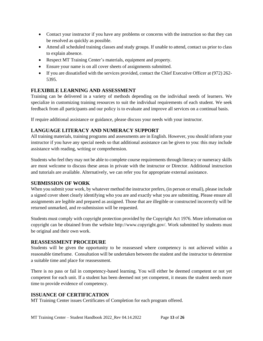- Contact your instructor if you have any problems or concerns with the instruction so that they can be resolved as quickly as possible.
- Attend all scheduled training classes and study groups. If unable to attend, contact us prior to class to explain absence.
- Respect MT Training Center's materials, equipment and property.
- Ensure your name is on all cover sheets of assignments submitted.
- If you are dissatisfied with the services provided, contact the Chief Executive Officer at (972) 262-5395.

# <span id="page-12-0"></span>**FLEXIBILE LEARNING AND ASSESSMENT**

Training can be delivered in a variety of methods depending on the individual needs of learners. We specialize in customizing training resources to suit the individual requirements of each student. We seek feedback from all participants and our policy is to evaluate and improve all services on a continual basis.

If require additional assistance or guidance, please discuss your needs with your instructor.

# <span id="page-12-1"></span>**LANGUAGE LITERACY AND NUMERACY SUPPORT**

All training materials, training programs and assessments are in English. However, you should inform your instructor if you have any special needs so that additional assistance can be given to you: this may include assistance with reading, writing or comprehension.

Students who feel they may not be able to complete course requirements through literacy or numeracy skills are most welcome to discuss these areas in private with the instructor or Director. Additional instruction and tutorials are available. Alternatively, we can refer you for appropriate external assistance.

# <span id="page-12-2"></span>**SUBMISSION OF WORK**

When you submit your work, by whatever method the instructor prefers, (in person or email), please include a signed cover sheet clearly identifying who you are and exactly what you are submitting. Please ensure all assignments are legible and prepared as assigned. Those that are illegible or constructed incorrectly will be returned unmarked, and re-submission will be requested.

Students must comply with copyright protection provided by the Copyright Act 1976. More information on copyright can be obtained from the website http://www.copyright.gov/. Work submitted by students must be original and their own work.

#### <span id="page-12-3"></span>**REASSESSMENT PROCEDURE**

Students will be given the opportunity to be reassessed where competency is not achieved within a reasonable timeframe. Consultation will be undertaken between the student and the instructor to determine a suitable time and place for reassessment.

There is no pass or fail in competency-based learning. You will either be deemed competent or not yet competent for each unit. If a student has been deemed not yet competent, it means the student needs more time to provide evidence of competency.

# <span id="page-12-4"></span>**ISSUANCE OF CERTIFICATION**

MT Training Center issues Certificates of Completion for each program offered.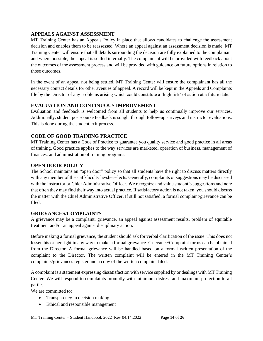### <span id="page-13-0"></span>**APPEALS AGAINST ASSESSMENT**

MT Training Center has an Appeals Policy in place that allows candidates to challenge the assessment decision and enables them to be reassessed. Where an appeal against an assessment decision is made, MT Training Center will ensure that all details surrounding the decision are fully explained to the complainant and where possible, the appeal is settled internally. The complainant will be provided with feedback about the outcomes of the assessment process and will be provided with guidance on future options in relation to those outcomes.

In the event of an appeal not being settled, MT Training Center will ensure the complainant has all the necessary contact details for other avenues of appeal. A record will be kept in the Appeals and Complaints file by the Director of any problems arising which could constitute a 'high risk' of action at a future date.

# <span id="page-13-1"></span>**EVALUATION AND CONTINUOUS IMPROVEMENT**

Evaluation and feedback is welcomed from all students to help us continually improve our services. Additionally, student post-course feedback is sought through follow-up surveys and instructor evaluations. This is done during the student exit process.

# <span id="page-13-2"></span>**CODE OF GOOD TRAINING PRACTICE**

MT Training Center has a Code of Practice to guarantee you quality service and good practice in all areas of training. Good practice applies to the way services are marketed, operation of business, management of finances, and administration of training programs.

# <span id="page-13-3"></span>**OPEN DOOR POLICY**

The School maintains an "open door" policy so that all students have the right to discuss matters directly with any member of the staff/faculty he/she selects. Generally, complaints or suggestions may be discussed with the instructor or Chief Administrative Officer. We recognize and value student's suggestions and note that often they may find their way into actual practice. If satisfactory action is not taken, you should discuss the matter with the Chief Administrative Officer. If still not satisfied, a formal complaint/grievance can be filed.

#### <span id="page-13-4"></span>**GRIEVANCES/COMPLAINTS**

A grievance may be a complaint, grievance, an appeal against assessment results, problem of equitable treatment and/or an appeal against disciplinary action.

Before making a formal grievance, the student should ask for verbal clarification of the issue. This does not lessen his or her right in any way to make a formal grievance. Grievance/Complaint forms can be obtained from the Director. A formal grievance will be handled based on a formal written presentation of the complaint to the Director. The written complaint will be entered in the MT Training Center's complaints/grievances register and a copy of the written complaint filed.

A complaint is a statement expressing dissatisfaction with service supplied by or dealings with MT Training Center. We will respond to complaints promptly with minimum distress and maximum protection to all parties.

We are committed to:

- Transparency in decision making
- Ethical and responsible management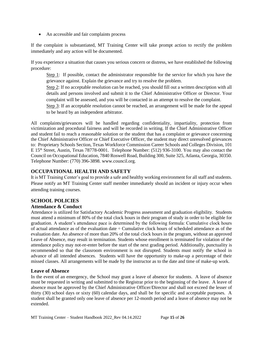• An accessible and fair complaints process

If the complaint is substantiated, MT Training Center will take prompt action to rectify the problem immediately and any action will be documented.

If you experience a situation that causes you serious concern or distress, we have established the following procedure:

Step 1: If possible, contact the administrator responsible for the service for which you have the grievance against. Explain the grievance and try to resolve the problem.

Step 2: If no acceptable resolution can be reached, you should fill out a written description with all details and persons involved and submit it to the Chief Administrative Officer or Director. Your complaint will be assessed, and you will be contacted in an attempt to resolve the complaint.

Step 3: If an acceptable resolution cannot be reached, an arrangement will be made for the appeal to be heard by an independent arbitrator.

All complaints/grievances will be handled regarding confidentiality, impartiality, protection from victimization and procedural fairness and will be recorded in writing. If the Chief Administrative Officer and student fail to reach a reasonable solution or the student that has a complaint or grievance concerning the Chief Administrative Officer or Chief Executive Officer, the student may direct unresolved grievances to: Proprietary Schools Section, Texas Workforce Commission Career Schools and Colleges Division, 101 E 15th Street, Austin, Texas 78778-0001. Telephone Number: (512) 936-3100. You may also contact the Council on Occupational Education, 7840 Roswell Road, Building 300, Suite 325, Atlanta, Georgia, 30350. Telephone Number: (770) 396-3898. www.council.org.

# <span id="page-14-0"></span>**OCCUPATIONAL HEALTH AND SAFETY**

It is MT Training Center's goal to provide a safe and healthy working environment for all staff and students. Please notify an MT Training Center staff member immediately should an incident or injury occur when attending training courses.

# <span id="page-14-1"></span>**SCHOOL POLICIES**

# <span id="page-14-2"></span>**Attendance & Conduct**

Attendance is utilized for Satisfactory Academic Progress assessment and graduation eligibility. Students must attend a minimum of 80% of the total clock hours in their program of study in order to be eligible for graduation. A student's attendance pace is determined by the following formula: Cumulative clock hours of actual attendance as of the evaluation date  $\div$  Cumulative clock hours of scheduled attendance as of the evaluation date. An absence of more than 20% of the total clock hours in the program, without an approved Leave of Absence, may result in termination. Students whose enrollment is terminated for violation of the attendance policy may not-re-enter before the start of the next grading period. Additionally, punctuality is recommended so that the classroom environment is not disrupted. Students must notify the school in advance of all intended absences. Students will have the opportunity to make-up a percentage of their missed classes. All arrangements will be made by the instructor as to the date and time of make-up work.

#### <span id="page-14-3"></span>**Leave of Absence**

In the event of an emergency, the School may grant a leave of absence for students. A leave of absence must be requested in writing and submitted to the Registrar prior to the beginning of the leave. A leave of absence must be approved by the Chief Administrative Officer/Director and shall not exceed the lesser of thirty (30) school days or sixty (60) calendar days, and shall be for specific and acceptable purposes. A student shall be granted only one leave of absence per 12-month period and a leave of absence may not be extended.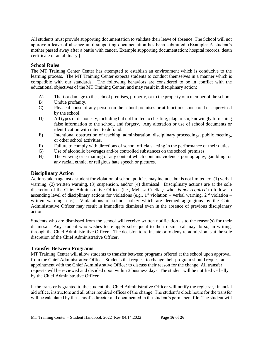All students must provide supporting documentation to validate their leave of absence. The School will not approve a leave of absence until supporting documentation has been submitted. (Example: A student's mother passed away after a battle with cancer. Example supporting documentation: hospital records, death certificate or an obituary.**)**

#### <span id="page-15-0"></span>**School Rules**

The MT Training Center Center has attempted to establish an environment which is conducive to the learning process. The MT Training Center expects students to conduct themselves in a manner which is compatible with our standards. The following behaviors are considered to be in conflict with the educational objectives of the MT Training Center, and may result in disciplinary action:

- A) Theft or damage to the school premises, property, or to the property of a member of the school.
- B) Undue profanity.
- C) Physical abuse of any person on the school premises or at functions sponsored or supervised by the school.
- D) All types of dishonesty, including but not limited to cheating, plagiarism, knowingly furnishing false information to the school, and forgery. Any alteration or use of school documents or identification with intent to defraud.
- E) Intentional obstruction of teaching, administration, disciplinary proceedings, public meeting, or other school activities.
- F) Failure to comply with directions of school officials acting in the performance of their duties.
- G) Use of alcoholic beverages and/or controlled substances on the school premises.
- H) The viewing or e-mailing of any content which contains violence, pornography, gambling, or any racial, ethnic, or religious hate speech or pictures.

#### <span id="page-15-1"></span>**Disciplinary Action**

Actions taken against a student for violation of school policies may include, but is not limited to: (1) verbal warning, (2) written warning, (3) suspension, and/or (4) dismissal. Disciplinary actions are at the sole discretion of the Chief Administrative Officer (i.e., Melissa Cuellar*)*, who *is not required* to follow an ascending level of disciplinary actions for violations (e.g.,  $1^{st}$  violation – verbal warning,  $2^{nd}$  violation – written warning, etc.) Violatations of school policy which are deemed aggregious by the Chief Administrative Officer may result in immediate dismissal even in the absence of previous disciplanary actions.

Students who are dismissed from the school will receive written notification as to the reason(s) for their dismissal. Any student who wishes to re-apply subsequent to their dismisssal may do so, in writing, through the Chief Administrative Officer. The decision to re-instate or to deny re-admission is at the sole discretion of the Chief Administrative Officer.

#### <span id="page-15-2"></span>**Transfer Between Programs**

MT Training Center will allow students to transfer between programs offered at the school upon approval from the Chief Administrative Officer. Students that request to change their program should request an appointment with the Chief Administrative Officer to discuss their reason for the change. All transfer requests will be reviewed and decided upon within 3 business days. The student will be notified verbally by the Chief Administrative Officer.

If the transfer is granted to the student, the Chief Administrative Officer will notify the registrar, financial aid office, instructors and all other required offices of the change. The student's clock hours for the transfer will be calculated by the school's director and documented in the student's permanent file. The student will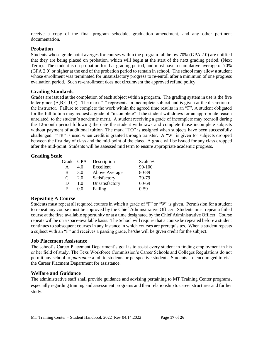receive a copy of the final program schedule, graduation amendment, and any other pertinent documentation.

#### <span id="page-16-0"></span>**Probation**

Students whose grade point averges for courses within the program fall below 70% (GPA 2.0) are notified that they are being placed on probation, which will begin at the start of the next grading period. (Next Term). The student is on probation for that grading period, and must have a cumulative average of 70% (GPA 2.0) or higher at the end of the probation period to remain in school. The school may allow a student whose enrollment was terminated for unsatisfactory progress to re-enroll after a minimum of one progress evaluation period. Such re-enrollment does not circumvent the approved refund policy.

#### <span id="page-16-1"></span>**Grading Standards**

Grades are issued at the completion of each subject within a program. The grading system in use is the five letter grade (A,B,C,D,F). The mark "I" represents an incomplete subject and is given at the discretion of the instructor. Failure to complete the work within the agreed time results in an "F". A student obligated for the full tuition may request a grade of "incomplete" if the student withdraws for an appropriate reason unrelated to the student's academic merit. A student receiving a grade of incomplete may reenroll during the 12-month period following the date the student withdraws and complete those incomplete subjects without payment of additional tuition. The mark "TO" is assigned when subjects have been successfully challenged. "TR" is used when credit is granted through transfer. A "W" is given for subjects dropped between the first day of class and the mid-point of the class. A grade will be issued for any class dropped after the mid-point. Students will be assessed mid term to ensure appropriate academic progress.

#### <span id="page-16-2"></span>**Grading Scale**

| Grade | <b>GPA</b> | Description    | Scale %  |
|-------|------------|----------------|----------|
| A     | 4.0        | Excellent      | 90-100   |
| B     | 3.0        | Above Average  | 80-89    |
| C     | 2.0        | Satisfactory   | 70-79    |
| D     | 1.0        | Unsatisfactory | 60-69    |
| F     | 0.0        | Failing        | $0 - 59$ |

#### <span id="page-16-3"></span>**Repeating A Course**

Students must repeat all required courses in which a grade of "F" or "W" is given. Permission for a student to repeat any course must be approved by the Chief Adminsitrative Officer. Students must repeat a failed course at the first available opportunity or at a time designated by the Chief Administrative Officer. Course repeats will be on a space-available basis. The School will require that a course be repeated before a student continues to subsequent courses in any instance in which courses are prerequisites. When a student repeats a sujbect with an "F" and receives a passing grade, he/she will be given credit for the subject.

#### <span id="page-16-4"></span>**Job Placement Assistance**

The school's Career Placement Department's goal is to assist every student in finding employment in his or her field of study. The Texs Workforce Commission's Career Schools and Colleges Regulations do not permit any school to *guarantee* a job to students or perspective students. Students are encouraged to visit the Career Placment Department for assistance.

#### <span id="page-16-5"></span>**Welfare and Guidance**

The administrative staff shall provide guidance and advising pertaining to MT Training Center programs, especially regarding training and assessment programs and their relationship to career structures and further study.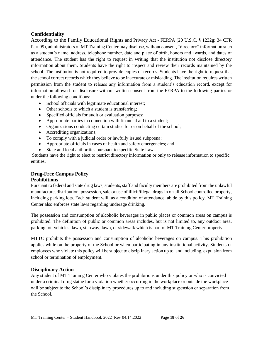# <span id="page-17-0"></span>**Confidentiality**

According to the Family Educational Rights and Privacy Act - FERPA (20 U.S.C. § 1232g; 34 CFR Part 99), administrators of MT Training Center may disclose, without consent, "directory" information such as a student's name, address, telephone number, date and place of birth, honors and awards, and dates of attendance. The student has the right to request in writing that the institution not disclose directory information about them. Students have the right to inspect and review their records maintained by the school. The institution is not required to provide copies of records. Students have the right to request that the school correct records which they believe to be inaccurate or misleading. The institution requires written permission from the student to release any information from a student's education record, except for information allowed for disclosure without written consent from the FERPA to the following parties or under the following conditions:

- School officials with legitimate educational interest;
- Other schools to which a student is transferring;
- Specified officials for audit or evaluation purposes;
- Appropriate parties in connection with financial aid to a student;
- Organizations conducting certain studies for or on behalf of the school;
- Accrediting organizations;
- To comply with a judicial order or lawfully issued subpoena;
- Appropriate officials in cases of health and safety emergencies; and
- State and local authorities pursuant to specific State Law.

Students have the right to elect to restrict directory information or only to release information to specific entities.

# <span id="page-17-2"></span><span id="page-17-1"></span>**Drug-Free Campus Policy Prohibitions**

Pursuant to federal and state drug laws, students, staff and faculty members are prohibited from the unlawful manufacture, distribution, possession, sale or use of illicit/illegal drugs in on all School controlled property, including parking lots. Each student will, as a condition of attendance, abide by this policy. MT Training Center also enforces state laws regarding underage drinking.

The possession and consumption of alcoholic beverages in public places or common areas on campus is prohibited. The definition of public or common areas includes, but is not limited to, any outdoor area, parking lot, vehicles, lawn, stairway, lawn, or sidewalk which is part of MT Training Center property.

MTTC prohibits the possession and consumption of alcoholic beverages on campus. This prohibition applies while on the property of the School or when participating in any institutional activity. Students or employees who violate this policy will be subject to disciplinary action up to, and including, expulsion from school or termination of employment.

# <span id="page-17-3"></span>**Disciplinary Action**

Any student of MT Training Center who violates the prohibitions under this policy or who is convicted under a criminal drug statue for a violation whether occurring in the workplace or outside the workplace will be subject to the School's disciplinary procedures up to and including suspension or separation from the School.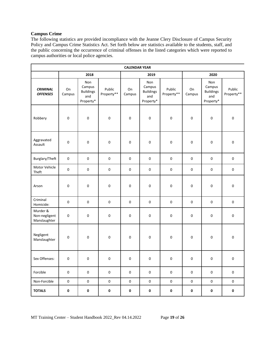#### <span id="page-18-0"></span>**Campus Crime**

The following statistics are provided incompliance with the Jeanne Clery Disclosure of Campus Security Policy and Campus Crime Statistics Act. Set forth below are statistics available to the students, staff, and the public concerning the occurrence of criminal offenses in the listed categories which were reported to campus authorities or local police agencies.

| <b>CALENDAR YEAR</b>                      |                     |                                                       |                      |                     |                                                       |                      |              |                                                       |                      |  |
|-------------------------------------------|---------------------|-------------------------------------------------------|----------------------|---------------------|-------------------------------------------------------|----------------------|--------------|-------------------------------------------------------|----------------------|--|
|                                           |                     | 2018<br>2020<br>2019                                  |                      |                     |                                                       |                      |              |                                                       |                      |  |
| <b>CRIMINAL</b><br><b>OFFENSES</b>        | On<br>Campus        | Non<br>Campus<br><b>Buildings</b><br>and<br>Property* | Public<br>Property** | On<br>Campus        | Non<br>Campus<br><b>Buildings</b><br>and<br>Property* | Public<br>Property** | On<br>Campus | Non<br>Campus<br><b>Buildings</b><br>and<br>Property* | Public<br>Property** |  |
| Robbery                                   | 0                   | $\pmb{0}$                                             | $\pmb{0}$            | $\pmb{0}$           | $\pmb{0}$                                             | 0                    | $\pmb{0}$    | $\pmb{0}$                                             | $\pmb{0}$            |  |
| Aggravated<br>Assault                     | $\pmb{0}$           | $\pmb{0}$                                             | $\pmb{0}$            | $\pmb{0}$           | 0                                                     | 0                    | 0            | $\pmb{0}$                                             | $\pmb{0}$            |  |
| Burglary/Theft                            | $\pmb{0}$           | $\pmb{0}$                                             | $\mathsf 0$          | $\pmb{0}$           | 0                                                     | 0                    | $\pmb{0}$    | $\pmb{0}$                                             | $\mathsf 0$          |  |
| Motor Vehicle<br>Theft                    | $\pmb{0}$           | $\pmb{0}$                                             | $\pmb{0}$            | $\pmb{0}$           | 0                                                     | $\mathsf 0$          | $\pmb{0}$    | $\mathsf 0$                                           | $\mathsf 0$          |  |
| Arson                                     | 0                   | $\pmb{0}$                                             | $\mathsf 0$          | $\mathsf{O}\xspace$ | 0                                                     | 0                    | $\pmb{0}$    | $\pmb{0}$                                             | $\pmb{0}$            |  |
| Criminal<br>Homicide:                     | $\pmb{0}$           | $\pmb{0}$                                             | $\mathsf 0$          | $\pmb{0}$           | 0                                                     | 0                    | $\pmb{0}$    | $\mathsf 0$                                           | $\pmb{0}$            |  |
| Murder &<br>Non-negligent<br>Manslaughter | $\pmb{0}$           | 0                                                     | $\pmb{0}$            | $\pmb{0}$           | $\mathsf 0$                                           | 0                    | 0            | $\pmb{0}$                                             | $\mathsf 0$          |  |
| Negligent<br>Manslaughter                 | 0                   | $\pmb{0}$                                             | $\mathsf 0$          | $\mathsf{O}\xspace$ | $\pmb{0}$                                             | 0                    | $\pmb{0}$    | $\pmb{0}$                                             | $\pmb{0}$            |  |
| Sex Offenses:                             | $\pmb{0}$           | $\mathbf 0$                                           | $\pmb{0}$            | $\pmb{0}$           | $\mathbf 0$                                           | 0                    | $\pmb{0}$    | $\pmb{0}$                                             | $\pmb{0}$            |  |
| Forcible                                  | $\mathsf{O}\xspace$ | $\pmb{0}$                                             | $\pmb{0}$            | $\mathbf 0$         | $\mathsf{O}\xspace$                                   | $\pmb{0}$            | $\pmb{0}$    | $\pmb{0}$                                             | $\mathsf{O}\xspace$  |  |
| Non-Forcible                              | $\mathsf{O}\xspace$ | $\pmb{0}$                                             | $\pmb{0}$            | $\mathsf{O}\xspace$ | $\mathbf 0$                                           | $\pmb{0}$            | $\pmb{0}$    | $\pmb{0}$                                             | $\mathsf{O}\xspace$  |  |
| <b>TOTALS</b>                             | 0                   | $\pmb{0}$                                             | $\mathbf 0$          | $\pmb{0}$           | 0                                                     | 0                    | $\pmb{0}$    | $\pmb{0}$                                             | $\mathbf 0$          |  |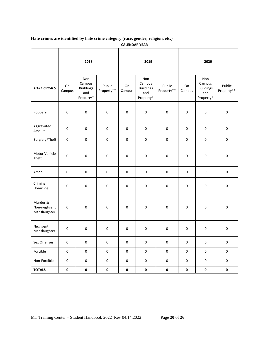|  | Hate crimes are identified by hate crime category (race, gender, religion, etc.) |  |  |  |  |
|--|----------------------------------------------------------------------------------|--|--|--|--|
|  |                                                                                  |  |  |  |  |

| <b>CALENDAR YEAR</b>                      |                     |                                                       |                      |              |                                                       |                      |              |                                                       |                      |  |
|-------------------------------------------|---------------------|-------------------------------------------------------|----------------------|--------------|-------------------------------------------------------|----------------------|--------------|-------------------------------------------------------|----------------------|--|
|                                           | 2018                |                                                       |                      |              | 2019                                                  |                      | 2020         |                                                       |                      |  |
| <b>HATE CRIMES</b>                        | On<br>Campus        | Non<br>Campus<br><b>Buildings</b><br>and<br>Property* | Public<br>Property** | On<br>Campus | Non<br>Campus<br><b>Buildings</b><br>and<br>Property* | Public<br>Property** | On<br>Campus | Non<br>Campus<br><b>Buildings</b><br>and<br>Property* | Public<br>Property** |  |
| Robbery                                   | $\mathsf 0$         | 0                                                     | $\pmb{0}$            | 0            | $\pmb{0}$                                             | $\pmb{0}$            | 0            | $\pmb{0}$                                             | $\pmb{0}$            |  |
| Aggravated<br>Assault                     | $\mathsf 0$         | 0                                                     | $\pmb{0}$            | $\pmb{0}$    | $\pmb{0}$                                             | $\mathsf 0$          | $\pmb{0}$    | $\pmb{0}$                                             | $\pmb{0}$            |  |
| Burglary/Theft                            | $\mathsf 0$         | $\mathsf{O}\xspace$                                   | $\pmb{0}$            | $\pmb{0}$    | $\pmb{0}$                                             | $\pmb{0}$            | $\pmb{0}$    | $\pmb{0}$                                             | $\pmb{0}$            |  |
| Motor Vehicle<br>Theft                    | $\mathbf 0$         | 0                                                     | $\pmb{0}$            | 0            | 0                                                     | $\pmb{0}$            | 0            | $\pmb{0}$                                             | 0                    |  |
| Arson                                     | $\mathsf 0$         | 0                                                     | $\mathsf 0$          | $\pmb{0}$    | $\pmb{0}$                                             | $\pmb{0}$            | $\pmb{0}$    | $\pmb{0}$                                             | $\pmb{0}$            |  |
| Criminal<br>Homicide:                     | $\mathsf 0$         | 0                                                     | $\pmb{0}$            | 0            | 0                                                     | $\pmb{0}$            | 0            | $\pmb{0}$                                             | $\pmb{0}$            |  |
| Murder &<br>Non-negligent<br>Manslaughter | $\pmb{0}$           | 0                                                     | $\pmb{0}$            | 0            | $\pmb{0}$                                             | $\pmb{0}$            | 0            | $\pmb{0}$                                             | $\mathsf 0$          |  |
| Negligent<br>Manslaughter                 | $\pmb{0}$           | 0                                                     | $\mathsf 0$          | 0            | 0                                                     | $\mathsf 0$          | 0            | $\pmb{0}$                                             | $\pmb{0}$            |  |
| Sex Offenses:                             | $\mathsf 0$         | $\pmb{0}$                                             | $\pmb{0}$            | $\mathbf 0$  | $\pmb{0}$                                             | $\pmb{0}$            | 0            | $\pmb{0}$                                             | $\pmb{0}$            |  |
| Forcible                                  | $\mathsf 0$         | $\pmb{0}$                                             | $\mathsf 0$          | $\mathbf 0$  | $\pmb{0}$                                             | $\pmb{0}$            | $\pmb{0}$    | $\pmb{0}$                                             | $\pmb{0}$            |  |
| Non-Forcible                              | $\mathsf{O}\xspace$ | $\pmb{0}$                                             | $\pmb{0}$            | $\pmb{0}$    | 0                                                     | $\pmb{0}$            | 0            | 0                                                     | 0                    |  |
| <b>TOTALS</b>                             | $\pmb{0}$           | $\pmb{0}$                                             | $\mathbf 0$          | $\mathbf 0$  | $\pmb{0}$                                             | $\pmb{0}$            | $\pmb{0}$    | $\pmb{0}$                                             | $\pmb{0}$            |  |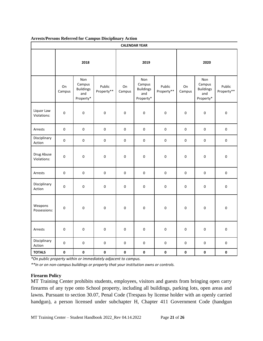| <b>Arrests/Persons Referred for Campus Disciplinary Action</b> |  |  |
|----------------------------------------------------------------|--|--|
|                                                                |  |  |

| <b>CALENDAR YEAR</b>      |              |                                                       |                      |              |                                                       |                      |                     |                                                       |                      |  |
|---------------------------|--------------|-------------------------------------------------------|----------------------|--------------|-------------------------------------------------------|----------------------|---------------------|-------------------------------------------------------|----------------------|--|
|                           | 2018         |                                                       |                      | 2019         |                                                       |                      | 2020                |                                                       |                      |  |
|                           | On<br>Campus | Non<br>Campus<br><b>Buildings</b><br>and<br>Property* | Public<br>Property** | On<br>Campus | Non<br>Campus<br><b>Buildings</b><br>and<br>Property* | Public<br>Property** | On<br>Campus        | Non<br>Campus<br><b>Buildings</b><br>and<br>Property* | Public<br>Property** |  |
| Liquor Law<br>Violations: | $\mathbf 0$  | 0                                                     | $\mathbf 0$          | $\mathsf 0$  | $\pmb{0}$                                             | 0                    | 0                   | $\pmb{0}$                                             | $\mathbf 0$          |  |
| Arrests                   | $\pmb{0}$    | $\pmb{0}$                                             | $\pmb{0}$            | $\pmb{0}$    | $\pmb{0}$                                             | $\pmb{0}$            | $\mathsf{O}\xspace$ | $\pmb{0}$                                             | $\pmb{0}$            |  |
| Disciplinary<br>Action    | $\pmb{0}$    | $\pmb{0}$                                             | $\pmb{0}$            | $\pmb{0}$    | $\mathsf 0$                                           | 0                    | 0                   | $\pmb{0}$                                             | $\pmb{0}$            |  |
| Drug Abuse<br>Violations: | $\pmb{0}$    | 0                                                     | $\mathsf{O}\xspace$  | 0            | $\pmb{0}$                                             | 0                    | 0                   | $\pmb{0}$                                             | $\pmb{0}$            |  |
| Arrests                   | $\pmb{0}$    | $\pmb{0}$                                             | $\pmb{0}$            | $\pmb{0}$    | $\pmb{0}$                                             | $\pmb{0}$            | $\mathsf{O}\xspace$ | $\pmb{0}$                                             | $\pmb{0}$            |  |
| Disciplinary<br>Action    | $\pmb{0}$    | 0                                                     | $\pmb{0}$            | 0            | $\pmb{0}$                                             | $\pmb{0}$            | 0                   | $\pmb{0}$                                             | $\pmb{0}$            |  |
| Weapons<br>Possessions:   | 0            | $\pmb{0}$                                             | $\mathbf 0$          | $\pmb{0}$    | $\pmb{0}$                                             | 0                    | 0                   | $\pmb{0}$                                             | $\mathsf 0$          |  |
| Arrests                   | $\pmb{0}$    | $\pmb{0}$                                             | $\pmb{0}$            | $\mathsf 0$  | $\mathsf 0$                                           | $\pmb{0}$            | 0                   | $\pmb{0}$                                             | $\pmb{0}$            |  |
| Disciplinary<br>Action    | $\pmb{0}$    | $\pmb{0}$                                             | $\pmb{0}$            | $\pmb{0}$    | $\mathsf 0$                                           | $\pmb{0}$            | 0                   | $\pmb{0}$                                             | $\pmb{0}$            |  |
| <b>TOTALS</b>             | $\pmb{0}$    | $\pmb{0}$                                             | $\pmb{0}$            | $\pmb{0}$    | $\pmb{0}$                                             | $\pmb{0}$            | 0                   | $\pmb{0}$                                             | $\pmb{0}$            |  |

*\*On public property within or immediately adjacent to campus.*

*\*\*In or on non-campus buildings or property that your institution owns or controls.*

#### <span id="page-20-0"></span>**Firearm Policy**

MT Training Center prohibits students, employees, visitors and guests from bringing open carry firearms of any type onto School property, including all buildings, parking lots, open areas and lawns. Pursuant to section 30.07, Penal Code (Trespass by license holder with an openly carried handgun), a person licensed under subchapter H, Chapter 411 Government Code (handgun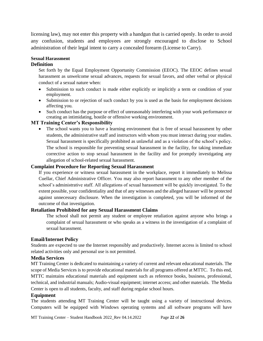licensing law), may not enter this property with a handgun that is carried openly. In order to avoid any confusion, students and employees are strongly encouraged to disclose to School administration of their legal intent to carry a concealed forearm (License to Carry).

# <span id="page-21-0"></span>**Sexual Harassment**

# <span id="page-21-1"></span>**Definition**

Set forth by the Equal Employment Opportunity Commission (EEOC). The EEOC defines sexual harassment as unwelcome sexual advances, requests for sexual favors, and other verbal or physical conduct of a sexual nature when:

- Submission to such conduct is made either explicitly or implicitly a term or condition of your employment.
- Submission to or rejection of such conduct by you is used as the basis for employment decisions affecting you.
- Such conduct has the purpose or effect of unreasonably interfering with your work performance or creating an intimidating, hostile or offensive working environment.

# <span id="page-21-2"></span>**MT Training Center's Responsibility**

• The school wants you to have a learning environment that is free of sexual harassment by other students, the administrative staff and instructors with whom you must interact during your studies. Sexual harassment is specifically prohibited as unlawful and as a violation of the school's policy. The school is responsible for preventing sexual harassment in the facility, for taking immediate corrective action to stop sexual harassment in the facility and for promptly investigating any allegation of school-related sexual harassment.

### <span id="page-21-3"></span>**Complaint Procedure for Reporting Sexual Harassment**

If you experience or witness sexual harassment in the workplace, report it immediately to Melissa Cuellar, Chief Administrative Officer. You may also report harassment to any other member of the school's administrative staff. All allegations of sexual harassment will be quickly investigated. To the extent possible, your confidentiality and that of any witnesses and the alleged harasser will be protected against unnecessary disclosure. When the investigation is completed, you will be informed of the outcome of that investigation.

#### <span id="page-21-4"></span>**Retaliation Prohibited for any Sexual Harassment Claims**

The school shall not permit any student or employee retaliation against anyone who brings a complaint of sexual harassment or who speaks as a witness in the investigation of a complaint of sexual harassment.

# <span id="page-21-5"></span>**Email/Internet Policy**

Students are expected to use the Internet responsibly and productively. Internet access is limited to school related activities only and personal use is not permitted.

#### <span id="page-21-6"></span>**Media Services**

MT Training Center is dedicated to maintaining a variety of current and relevant educational materials. The scope of Media Services is to provide educational materials for all programs offered at MTTC. To this end, MTTC maintains educational materials and equipment such as reference books, business, professional, technical, and industrial manuals; Audio-visual equipment; internet access; and other materials. The Media Center is open to all students, faculty, and staff during regular school hours.

# <span id="page-21-7"></span>**Equipment**

The students attending MT Training Center will be taught using a variety of instructional devices. Computers will be equipped with Windows operating systems and all software programs will have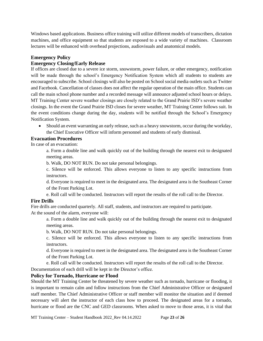Windows based applications. Business office training will utilize different models of transcribers, dictation machines, and office equipment so that students are exposed to a wide variety of machines. Classroom lectures will be enhanced with overhead projections, audiovisuals and anatomical models.

#### <span id="page-22-0"></span>**Emergency Policy**

### <span id="page-22-1"></span>**Emergency Closing/Early Release**

If offices are closed due to a severe ice storm, snowstorm, power failure, or other emergency, notification will be made through the school's Emergency Notification System which all students to students are encouraged to subscribe. School closings will also be posted on School social media outlets such as Twitter and Facebook. Cancellation of classes does not affect the regular operation of the main office. Students can call the main school phone number and a recorded message will announce adjusted school hours or delays. MT Training Center severe weather closings are closely related to the Grand Prairie ISD's severe weather closings. In the event the Grand Prairie ISD closes for severe weather, MT Training Center follows suit. In the event conditions change during the day, students will be notified through the School's Emergency Notification System.

• Should an event warranting an early release, such as a heavy snowstorm, occur during the workday, the Chief Executive Officer will inform personnel and students of early dismissal.

### <span id="page-22-2"></span>**Evacuation Procedures**

In case of an evacuation:

a. Form a double line and walk quickly out of the building through the nearest exit to designated meeting areas.

b. Walk, DO NOT RUN. Do not take personal belongings.

c. Silence will be enforced. This allows everyone to listen to any specific instructions from instructors.

d. Everyone is required to meet in the designated area. The designated area is the Southeast Corner of the Front Parking Lot.

e. Roll call will be conducted. Instructors will report the results of the roll call to the Director.

# <span id="page-22-3"></span>**Fire Drills**

Fire drills are conducted quarterly. All staff, students, and instructors are required to participate. At the sound of the alarm, everyone will:

a. Form a double line and walk quickly out of the building through the nearest exit to designated meeting areas.

b. Walk, DO NOT RUN. Do not take personal belongings.

c. Silence will be enforced. This allows everyone to listen to any specific instructions from instructors.

d. Everyone is required to meet in the designated area. The designated area is the Southeast Corner of the Front Parking Lot.

e. Roll call will be conducted. Instructors will report the results of the roll call to the Director.

Documentation of each drill will be kept in the Director's office.

# <span id="page-22-4"></span>**Policy for Tornado, Hurricane or Flood**

Should the MT Training Center be threatened by severe weather such as tornado, hurricane or flooding, it is important to remain calm and follow instructions from the Chief Administrative Officer or designated staff member. The Chief Administrative Officer or staff member will monitor the situation and if deemed necessary will alert the instructor of each class how to proceed. The designated areas for a tornado, hurricane or flood are the CNC and GED classrooms. When asked to move to those areas, it is vital that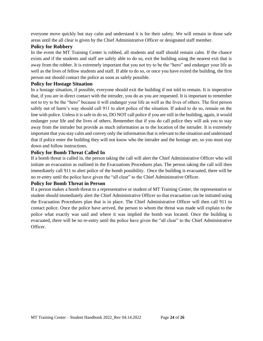everyone move quickly but stay calm and understand it is for their safety. We will remain in those safe areas until the all clear is given by the Chief Administrative Officer or designated staff member.

#### <span id="page-23-0"></span>**Policy for Robbery**

In the event the MT Training Center is robbed, all students and staff should remain calm. If the chance exists and if the students and staff are safely able to do so, exit the building using the nearest exit that is away from the robber. It is extremely important that you not try to be the "hero" and endanger your life as well as the lives of fellow students and staff. If able to do so, or once you have exited the building, the first person out should contact the police as soon as safely possible.

#### <span id="page-23-1"></span>**Policy for Hostage Situation**

In a hostage situation, if possible, everyone should exit the building if not told to remain. It is imperative that, if you are in direct contact with the intruder, you do as you are requested. It is important to remember not to try to be the "hero" because it will endanger your life as well as the lives of others. The first person safely out of harm's way should call 911 to alert police of the situation. If asked to do so, remain on the line with police. Unless it is safe to do so, DO NOT call police if you are still in the building, again, it would endanger your life and the lives of others. Remember that if you do call police they will ask you to stay away from the intruder but provide as much information as to the location of the intruder. It is extremely important that you stay calm and convey only the information that is relevant to the situation and understand that if police enter the building they will not know who the intruder and the hostage are, so you must stay down and follow instructions.

#### <span id="page-23-2"></span>**Policy for Bomb Threat Called In**

If a bomb threat is called in, the person taking the call will alert the Chief Administrative Officer who will initiate an evacuation as outlined in the Evacuations Procedures plan. The person taking the call will then immediately call 911 to alert police of the bomb possibility. Once the building is evacuated, there will be no re-entry until the police have given the "all clear" to the Chief Administrative Officer.

#### <span id="page-23-3"></span>**Policy for Bomb Threat in Person**

If a person makes a bomb threat to a representative or student of MT Training Center, the representative or student should immediately alert the Chief Administrative Officer so that evacuation can be initiated using the Evacuation Procedures plan that is in place. The Chief Administrative Officer will then call 911 to contact police. Once the police have arrived, the person to whom the threat was made will explain to the police what exactly was said and where it was implied the bomb was located. Once the building is evacuated, there will be no re-entry until the police have given the "all clear" to the Chief Administrative Officer.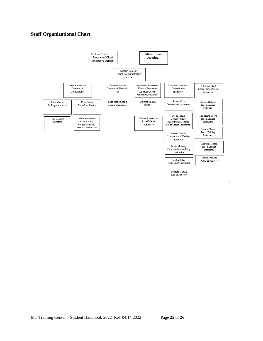# <span id="page-24-0"></span>**Staff Organizational Chart**